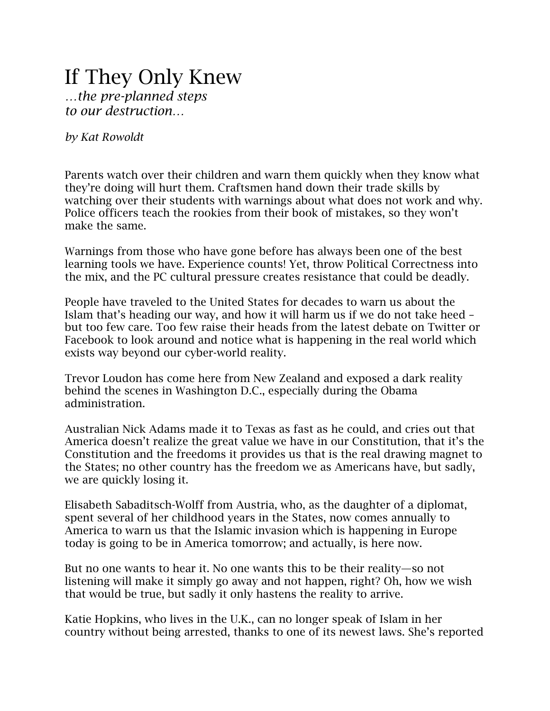## If They Only Knew

*…the pre-planned steps to our destruction…*

*by Kat Rowoldt*

Parents watch over their children and warn them quickly when they know what they're doing will hurt them. Craftsmen hand down their trade skills by watching over their students with warnings about what does not work and why. Police officers teach the rookies from their book of mistakes, so they won't make the same.

Warnings from those who have gone before has always been one of the best learning tools we have. Experience counts! Yet, throw Political Correctness into the mix, and the PC cultural pressure creates resistance that could be deadly.

People have traveled to the United States for decades to warn us about the Islam that's heading our way, and how it will harm us if we do not take heed – but too few care. Too few raise their heads from the latest debate on Twitter or Facebook to look around and notice what is happening in the real world which exists way beyond our cyber-world reality.

Trevor Loudon has come here from New Zealand and exposed a dark reality behind the scenes in Washington D.C., especially during the Obama administration.

Australian Nick Adams made it to Texas as fast as he could, and cries out that America doesn't realize the great value we have in our Constitution, that it's the Constitution and the freedoms it provides us that is the real drawing magnet to the States; no other country has the freedom we as Americans have, but sadly, we are quickly losing it.

Elisabeth Sabaditsch-Wolff from Austria, who, as the daughter of a diplomat, spent several of her childhood years in the States, now comes annually to America to warn us that the Islamic invasion which is happening in Europe today is going to be in America tomorrow; and actually, is here now.

But no one wants to hear it. No one wants this to be their reality—so not listening will make it simply go away and not happen, right? Oh, how we wish that would be true, but sadly it only hastens the reality to arrive.

Katie Hopkins, who lives in the U.K., can no longer speak of Islam in her country without being arrested, thanks to one of its newest laws. She's reported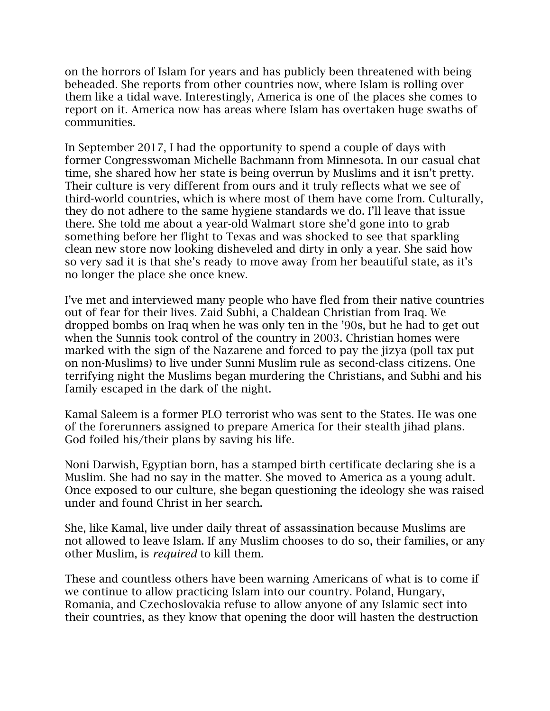on the horrors of Islam for years and has publicly been threatened with being beheaded. She reports from other countries now, where Islam is rolling over them like a tidal wave. Interestingly, America is one of the places she comes to report on it. America now has areas where Islam has overtaken huge swaths of communities.

In September 2017, I had the opportunity to spend a couple of days with former Congresswoman Michelle Bachmann from Minnesota. In our casual chat time, she shared how her state is being overrun by Muslims and it isn't pretty. Their culture is very different from ours and it truly reflects what we see of third-world countries, which is where most of them have come from. Culturally, they do not adhere to the same hygiene standards we do. I'll leave that issue there. She told me about a year-old Walmart store she'd gone into to grab something before her flight to Texas and was shocked to see that sparkling clean new store now looking disheveled and dirty in only a year. She said how so very sad it is that she's ready to move away from her beautiful state, as it's no longer the place she once knew.

I've met and interviewed many people who have fled from their native countries out of fear for their lives. Zaid Subhi, a Chaldean Christian from Iraq. We dropped bombs on Iraq when he was only ten in the '90s, but he had to get out when the Sunnis took control of the country in 2003. Christian homes were marked with the sign of the Nazarene and forced to pay the jizya (poll tax put on non-Muslims) to live under Sunni Muslim rule as second-class citizens. One terrifying night the Muslims began murdering the Christians, and Subhi and his family escaped in the dark of the night.

Kamal Saleem is a former PLO terrorist who was sent to the States. He was one of the forerunners assigned to prepare America for their stealth jihad plans. God foiled his/their plans by saving his life.

Noni Darwish, Egyptian born, has a stamped birth certificate declaring she is a Muslim. She had no say in the matter. She moved to America as a young adult. Once exposed to our culture, she began questioning the ideology she was raised under and found Christ in her search.

She, like Kamal, live under daily threat of assassination because Muslims are not allowed to leave Islam. If any Muslim chooses to do so, their families, or any other Muslim, is *required* to kill them.

These and countless others have been warning Americans of what is to come if we continue to allow practicing Islam into our country. Poland, Hungary, Romania, and Czechoslovakia refuse to allow anyone of any Islamic sect into their countries, as they know that opening the door will hasten the destruction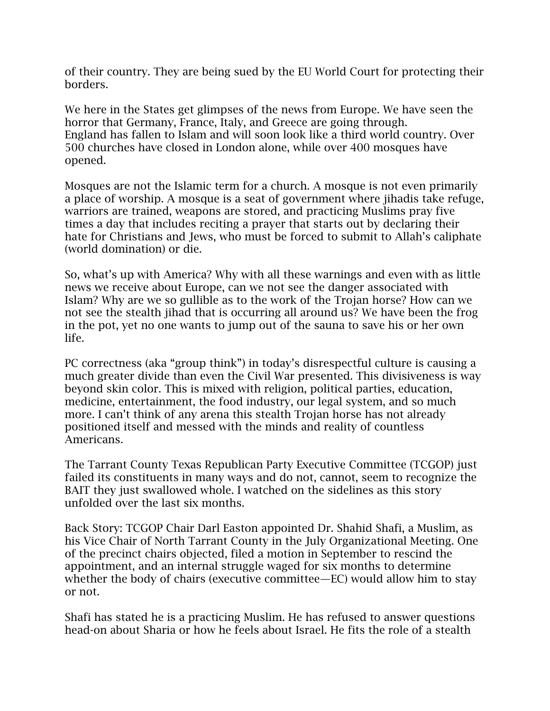of their country. They are being sued by the EU World Court for protecting their borders.

We here in the States get glimpses of the news from Europe. We have seen the horror that Germany, France, Italy, and Greece are going through. England has fallen to Islam and will soon look like a third world country. Over 500 churches have closed in London alone, while over 400 mosques have opened.

Mosques are not the Islamic term for a church. A mosque is not even primarily a place of worship. A mosque is a seat of government where jihadis take refuge, warriors are trained, weapons are stored, and practicing Muslims pray five times a day that includes reciting a prayer that starts out by declaring their hate for Christians and Jews, who must be forced to submit to Allah's caliphate (world domination) or die.

So, what's up with America? Why with all these warnings and even with as little news we receive about Europe, can we not see the danger associated with Islam? Why are we so gullible as to the work of the Trojan horse? How can we not see the stealth jihad that is occurring all around us? We have been the frog in the pot, yet no one wants to jump out of the sauna to save his or her own life.

PC correctness (aka "group think") in today's disrespectful culture is causing a much greater divide than even the Civil War presented. This divisiveness is way beyond skin color. This is mixed with religion, political parties, education, medicine, entertainment, the food industry, our legal system, and so much more. I can't think of any arena this stealth Trojan horse has not already positioned itself and messed with the minds and reality of countless Americans.

The Tarrant County Texas Republican Party Executive Committee (TCGOP) just failed its constituents in many ways and do not, cannot, seem to recognize the BAIT they just swallowed whole. I watched on the sidelines as this story unfolded over the last six months.

Back Story: TCGOP Chair Darl Easton appointed Dr. Shahid Shafi, a Muslim, as his Vice Chair of North Tarrant County in the July Organizational Meeting. One of the precinct chairs objected, filed a motion in September to rescind the appointment, and an internal struggle waged for six months to determine whether the body of chairs (executive committee—EC) would allow him to stay or not.

Shafi has stated he is a practicing Muslim. He has refused to answer questions head-on about Sharia or how he feels about Israel. He fits the role of a stealth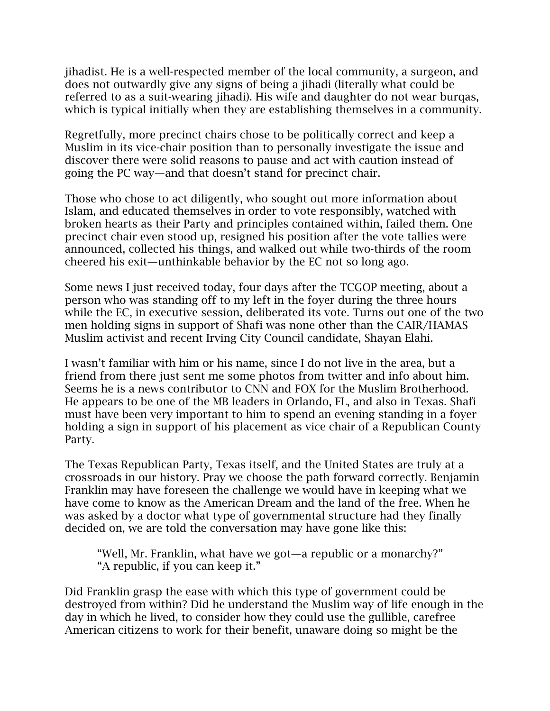jihadist. He is a well-respected member of the local community, a surgeon, and does not outwardly give any signs of being a jihadi (literally what could be referred to as a suit-wearing jihadi). His wife and daughter do not wear burqas, which is typical initially when they are establishing themselves in a community.

Regretfully, more precinct chairs chose to be politically correct and keep a Muslim in its vice-chair position than to personally investigate the issue and discover there were solid reasons to pause and act with caution instead of going the PC way—and that doesn't stand for precinct chair.

Those who chose to act diligently, who sought out more information about Islam, and educated themselves in order to vote responsibly, watched with broken hearts as their Party and principles contained within, failed them. One precinct chair even stood up, resigned his position after the vote tallies were announced, collected his things, and walked out while two-thirds of the room cheered his exit—unthinkable behavior by the EC not so long ago.

Some news I just received today, four days after the TCGOP meeting, about a person who was standing off to my left in the foyer during the three hours while the EC, in executive session, deliberated its vote. Turns out one of the two men holding signs in support of Shafi was none other than the CAIR/HAMAS Muslim activist and recent Irving City Council candidate, Shayan Elahi.

I wasn't familiar with him or his name, since I do not live in the area, but a friend from there just sent me some photos from twitter and info about him. Seems he is a news contributor to CNN and FOX for the Muslim Brotherhood. He appears to be one of the MB leaders in Orlando, FL, and also in Texas. Shafi must have been very important to him to spend an evening standing in a foyer holding a sign in support of his placement as vice chair of a Republican County Party.

The Texas Republican Party, Texas itself, and the United States are truly at a crossroads in our history. Pray we choose the path forward correctly. Benjamin Franklin may have foreseen the challenge we would have in keeping what we have come to know as the American Dream and the land of the free. When he was asked by a doctor what type of governmental structure had they finally decided on, we are told the conversation may have gone like this:

"Well, Mr. Franklin, what have we got—a republic or a monarchy?" "A republic, if you can keep it."

Did Franklin grasp the ease with which this type of government could be destroyed from within? Did he understand the Muslim way of life enough in the day in which he lived, to consider how they could use the gullible, carefree American citizens to work for their benefit, unaware doing so might be the